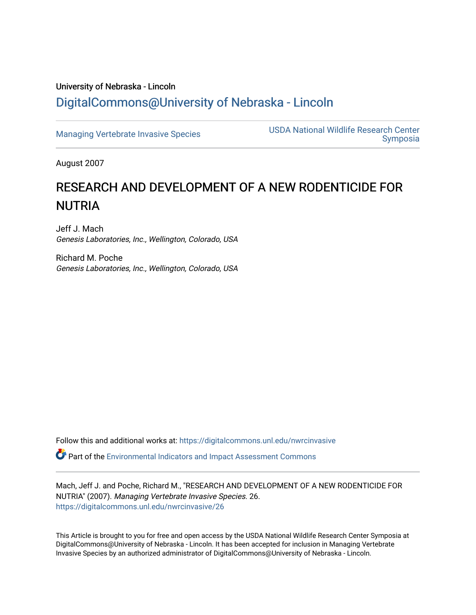# University of Nebraska - Lincoln [DigitalCommons@University of Nebraska - Lincoln](https://digitalcommons.unl.edu/)

[Managing Vertebrate Invasive Species](https://digitalcommons.unl.edu/nwrcinvasive) USDA National Wildlife Research Center [Symposia](https://digitalcommons.unl.edu/nwrcsymposia) 

August 2007

# RESEARCH AND DEVELOPMENT OF A NEW RODENTICIDE FOR **NUTRIA**

Jeff J. Mach Genesis Laboratories, Inc., Wellington, Colorado, USA

Richard M. Poche Genesis Laboratories, Inc., Wellington, Colorado, USA

Follow this and additional works at: [https://digitalcommons.unl.edu/nwrcinvasive](https://digitalcommons.unl.edu/nwrcinvasive?utm_source=digitalcommons.unl.edu%2Fnwrcinvasive%2F26&utm_medium=PDF&utm_campaign=PDFCoverPages)

Part of the [Environmental Indicators and Impact Assessment Commons](http://network.bepress.com/hgg/discipline/1015?utm_source=digitalcommons.unl.edu%2Fnwrcinvasive%2F26&utm_medium=PDF&utm_campaign=PDFCoverPages) 

Mach, Jeff J. and Poche, Richard M., "RESEARCH AND DEVELOPMENT OF A NEW RODENTICIDE FOR NUTRIA" (2007). Managing Vertebrate Invasive Species. 26. [https://digitalcommons.unl.edu/nwrcinvasive/26](https://digitalcommons.unl.edu/nwrcinvasive/26?utm_source=digitalcommons.unl.edu%2Fnwrcinvasive%2F26&utm_medium=PDF&utm_campaign=PDFCoverPages)

This Article is brought to you for free and open access by the USDA National Wildlife Research Center Symposia at DigitalCommons@University of Nebraska - Lincoln. It has been accepted for inclusion in Managing Vertebrate Invasive Species by an authorized administrator of DigitalCommons@University of Nebraska - Lincoln.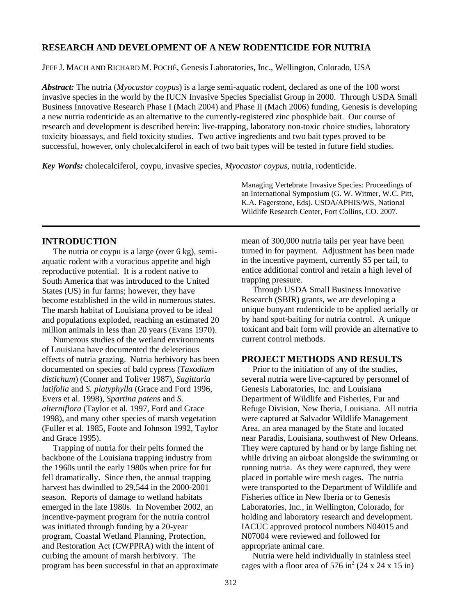# **RESEARCH AND DEVELOPMENT OF A NEW RODENTICIDE FOR NUTRIA**

JEFF J. MACH AND RICHARD M. POCHÉ, Genesis Laboratories, Inc., Wellington, Colorado, USA

*Abstract:* The nutria (*Myocastor coypus*) is a large semi-aquatic rodent, declared as one of the 100 worst invasive species in the world by the IUCN Invasive Species Specialist Group in 2000. Through USDA Small Business Innovative Research Phase I (Mach 2004) and Phase II (Mach 2006) funding, Genesis is developing a new nutria rodenticide as an alternative to the currently-registered zinc phosphide bait. Our course of research and development is described herein: live-trapping, laboratory non-toxic choice studies, laboratory toxicity bioassays, and field toxicity studies. Two active ingredients and two bait types proved to be successful, however, only cholecalciferol in each of two bait types will be tested in future field studies.

*Key Words:* cholecalciferol, coypu, invasive species, *Myocastor coypus*, nutria, rodenticide.

Managing Vertebrate Invasive Species: Proceedings of an International Symposium (G. W. Witmer, W.C. Pitt, K.A. Fagerstone, Eds). USDA/APHIS/WS, National Wildlife Research Center, Fort Collins, CO. 2007.

# **INTRODUCTION**

 The nutria or coypu is a large (over 6 kg), semiaquatic rodent with a voracious appetite and high reproductive potential. It is a rodent native to South America that was introduced to the United States (US) in fur farms; however, they have become established in the wild in numerous states. The marsh habitat of Louisiana proved to be ideal and populations exploded, reaching an estimated 20 million animals in less than 20 years (Evans 1970).

 Numerous studies of the wetland environments of Louisiana have documented the deleterious effects of nutria grazing. Nutria herbivory has been documented on species of bald cypress (*Taxodium distichum*) (Conner and Toliver 1987), *Sagittaria latifolia* and *S. platyphylla* (Grace and Ford 1996, Evers et al. 1998), *Spartina patens* and *S. alterniflora* (Taylor et al. 1997, Ford and Grace 1998), and many other species of marsh vegetation (Fuller et al. 1985, Foote and Johnson 1992, Taylor and Grace 1995).

 Trapping of nutria for their pelts formed the backbone of the Louisiana trapping industry from the 1960s until the early 1980s when price for fur fell dramatically. Since then, the annual trapping harvest has dwindled to 29,544 in the 2000-2001 season. Reports of damage to wetland habitats emerged in the late 1980s. In November 2002, an incentive-payment program for the nutria control was initiated through funding by a 20-year program, Coastal Wetland Planning, Protection, and Restoration Act (CWPPRA) with the intent of curbing the amount of marsh herbivory. The program has been successful in that an approximate mean of 300,000 nutria tails per year have been turned in for payment. Adjustment has been made in the incentive payment, currently \$5 per tail, to entice additional control and retain a high level of trapping pressure.

 Through USDA Small Business Innovative Research (SBIR) grants, we are developing a unique buoyant rodenticide to be applied aerially or by hand spot-baiting for nutria control. A unique toxicant and bait form will provide an alternative to current control methods.

## **PROJECT METHODS AND RESULTS**

 Prior to the initiation of any of the studies, several nutria were live-captured by personnel of Genesis Laboratories, Inc. and Louisiana Department of Wildlife and Fisheries, Fur and Refuge Division, New Iberia, Louisiana. All nutria were captured at Salvador Wildlife Management Area, an area managed by the State and located near Paradis, Louisiana, southwest of New Orleans. They were captured by hand or by large fishing net while driving an airboat alongside the swimming or running nutria. As they were captured, they were placed in portable wire mesh cages. The nutria were transported to the Department of Wildlife and Fisheries office in New Iberia or to Genesis Laboratories, Inc., in Wellington, Colorado, for holding and laboratory research and development. IACUC approved protocol numbers N04015 and N07004 were reviewed and followed for appropriate animal care.

 Nutria were held individually in stainless steel cages with a floor area of 576 in<sup>2</sup> (24 x 24 x 15 in)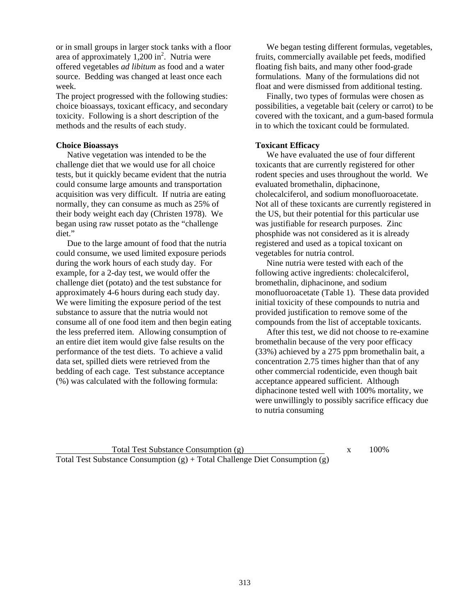or in small groups in larger stock tanks with a floor area of approximately  $1,200$  in<sup>2</sup>. Nutria were offered vegetables *ad libitum* as food and a water source. Bedding was changed at least once each week.

The project progressed with the following studies: choice bioassays, toxicant efficacy, and secondary toxicity. Following is a short description of the methods and the results of each study.

#### **Choice Bioassays**

 Native vegetation was intended to be the challenge diet that we would use for all choice tests, but it quickly became evident that the nutria could consume large amounts and transportation acquisition was very difficult. If nutria are eating normally, they can consume as much as 25% of their body weight each day (Christen 1978). We began using raw russet potato as the "challenge diet."

 Due to the large amount of food that the nutria could consume, we used limited exposure periods during the work hours of each study day. For example, for a 2-day test, we would offer the challenge diet (potato) and the test substance for approximately 4-6 hours during each study day. We were limiting the exposure period of the test substance to assure that the nutria would not consume all of one food item and then begin eating the less preferred item. Allowing consumption of an entire diet item would give false results on the performance of the test diets. To achieve a valid data set, spilled diets were retrieved from the bedding of each cage. Test substance acceptance (%) was calculated with the following formula:

 We began testing different formulas, vegetables, fruits, commercially available pet feeds, modified floating fish baits, and many other food-grade formulations. Many of the formulations did not float and were dismissed from additional testing.

 Finally, two types of formulas were chosen as possibilities, a vegetable bait (celery or carrot) to be covered with the toxicant, and a gum-based formula in to which the toxicant could be formulated.

# **Toxicant Efficacy**

 We have evaluated the use of four different toxicants that are currently registered for other rodent species and uses throughout the world. We evaluated bromethalin, diphacinone, cholecalciferol, and sodium monofluoroacetate. Not all of these toxicants are currently registered in the US, but their potential for this particular use was justifiable for research purposes. Zinc phosphide was not considered as it is already registered and used as a topical toxicant on vegetables for nutria control.

 Nine nutria were tested with each of the following active ingredients: cholecalciferol, bromethalin, diphacinone, and sodium monofluoroacetate (Table 1). These data provided initial toxicity of these compounds to nutria and provided justification to remove some of the compounds from the list of acceptable toxicants.

 After this test, we did not choose to re-examine bromethalin because of the very poor efficacy (33%) achieved by a 275 ppm bromethalin bait, a concentration 2.75 times higher than that of any other commercial rodenticide, even though bait acceptance appeared sufficient. Although diphacinone tested well with 100% mortality, we were unwillingly to possibly sacrifice efficacy due to nutria consuming

Total Test Substance Consumption (g)  $x = 100\%$ Total Test Substance Consumption (g) + Total Challenge Diet Consumption (g)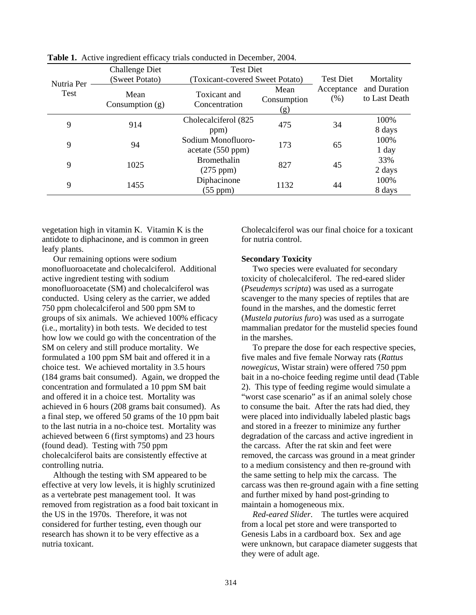|                    | ັ                                       |                                                     |                            |                       |                               |
|--------------------|-----------------------------------------|-----------------------------------------------------|----------------------------|-----------------------|-------------------------------|
| Nutria Per<br>Test | <b>Challenge Diet</b><br>(Sweet Potato) | <b>Test Diet</b><br>(Toxicant-covered Sweet Potato) |                            | <b>Test Diet</b>      | Mortality                     |
|                    | Mean<br>Consumption $(g)$               | Toxicant and<br>Concentration                       | Mean<br>Consumption<br>(g) | Acceptance<br>$(\% )$ | and Duration<br>to Last Death |
| 9                  | 914                                     | Cholecalciferol (825<br>ppm)                        | 475                        | 34                    | 100%<br>8 days                |
| 9                  | 94                                      | Sodium Monofluoro-<br>acetate (550 ppm)             | 173                        | 65                    | 100%<br>1 day                 |
| 9                  | 1025                                    | <b>Bromethalin</b><br>$(275$ ppm $)$                | 827                        | 45                    | 33%<br>2 days                 |
| 9                  | 1455                                    | Diphacinone<br>$(55$ ppm $)$                        | 1132                       | 44                    | 100%<br>8 days                |

**Table 1.** Active ingredient efficacy trials conducted in December, 2004.

vegetation high in vitamin K. Vitamin K is the antidote to diphacinone, and is common in green leafy plants.

 Our remaining options were sodium monofluoroacetate and cholecalciferol. Additional active ingredient testing with sodium monofluoroacetate (SM) and cholecalciferol was conducted. Using celery as the carrier, we added 750 ppm cholecalciferol and 500 ppm SM to groups of six animals. We achieved 100% efficacy (i.e., mortality) in both tests. We decided to test how low we could go with the concentration of the SM on celery and still produce mortality. We formulated a 100 ppm SM bait and offered it in a choice test. We achieved mortality in 3.5 hours (184 grams bait consumed). Again, we dropped the concentration and formulated a 10 ppm SM bait and offered it in a choice test. Mortality was achieved in 6 hours (208 grams bait consumed). As a final step, we offered 50 grams of the 10 ppm bait to the last nutria in a no-choice test. Mortality was achieved between 6 (first symptoms) and 23 hours (found dead). Testing with 750 ppm cholecalciferol baits are consistently effective at controlling nutria.

 Although the testing with SM appeared to be effective at very low levels, it is highly scrutinized as a vertebrate pest management tool. It was removed from registration as a food bait toxicant in the US in the 1970s. Therefore, it was not considered for further testing, even though our research has shown it to be very effective as a nutria toxicant.

Cholecalciferol was our final choice for a toxicant for nutria control.

#### **Secondary Toxicity**

 Two species were evaluated for secondary toxicity of cholecalciferol. The red-eared slider (*Pseudemys scripta*) was used as a surrogate scavenger to the many species of reptiles that are found in the marshes, and the domestic ferret (*Mustela putorius furo*) was used as a surrogate mammalian predator for the mustelid species found in the marshes.

 To prepare the dose for each respective species, five males and five female Norway rats (*Rattus nowegicus*, Wistar strain) were offered 750 ppm bait in a no-choice feeding regime until dead (Table 2). This type of feeding regime would simulate a "worst case scenario" as if an animal solely chose to consume the bait. After the rats had died, they were placed into individually labeled plastic bags and stored in a freezer to minimize any further degradation of the carcass and active ingredient in the carcass. After the rat skin and feet were removed, the carcass was ground in a meat grinder to a medium consistency and then re-ground with the same setting to help mix the carcass. The carcass was then re-ground again with a fine setting and further mixed by hand post-grinding to maintain a homogeneous mix.

 *Red-eared Slider.* The turtles were acquired from a local pet store and were transported to Genesis Labs in a cardboard box. Sex and age were unknown, but carapace diameter suggests that they were of adult age.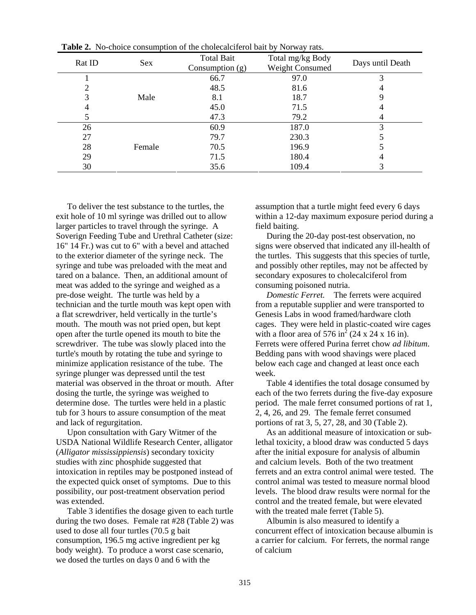| Rat ID | Sex    | <b>Total Bait</b><br>Consumption $(g)$ | Total mg/kg Body<br>Weight Consumed | Days until Death |
|--------|--------|----------------------------------------|-------------------------------------|------------------|
|        |        | 66.7                                   | 97.0                                | 3                |
|        |        | 48.5                                   | 81.6                                |                  |
|        | Male   | 8.1                                    | 18.7                                |                  |
|        |        | 45.0                                   | 71.5                                |                  |
|        |        | 47.3                                   | 79.2                                |                  |
| 26     |        | 60.9                                   | 187.0                               |                  |
| 27     |        | 79.7                                   | 230.3                               |                  |
| 28     | Female | 70.5                                   | 196.9                               |                  |
| 29     |        | 71.5                                   | 180.4                               |                  |
| 30     |        | 35.6                                   | 109.4                               |                  |

**Table 2.** No-choice consumption of the cholecalciferol bait by Norway rats.

 To deliver the test substance to the turtles, the exit hole of 10 ml syringe was drilled out to allow larger particles to travel through the syringe. A Soverign Feeding Tube and Urethral Catheter (size: 16" 14 Fr.) was cut to 6" with a bevel and attached to the exterior diameter of the syringe neck. The syringe and tube was preloaded with the meat and tared on a balance. Then, an additional amount of meat was added to the syringe and weighed as a pre-dose weight. The turtle was held by a technician and the turtle mouth was kept open with a flat screwdriver, held vertically in the turtle's mouth. The mouth was not pried open, but kept open after the turtle opened its mouth to bite the screwdriver. The tube was slowly placed into the turtle's mouth by rotating the tube and syringe to minimize application resistance of the tube. The syringe plunger was depressed until the test material was observed in the throat or mouth. After dosing the turtle, the syringe was weighed to determine dose. The turtles were held in a plastic tub for 3 hours to assure consumption of the meat and lack of regurgitation.

 Upon consultation with Gary Witmer of the USDA National Wildlife Research Center, alligator (*Alligator mississippiensis*) secondary toxicity studies with zinc phosphide suggested that intoxication in reptiles may be postponed instead of the expected quick onset of symptoms. Due to this possibility, our post-treatment observation period was extended.

 Table 3 identifies the dosage given to each turtle during the two doses. Female rat #28 (Table 2) was used to dose all four turtles (70.5 g bait consumption, 196.5 mg active ingredient per kg body weight). To produce a worst case scenario, we dosed the turtles on days 0 and 6 with the

assumption that a turtle might feed every 6 days within a 12-day maximum exposure period during a field baiting.

 During the 20-day post-test observation, no signs were observed that indicated any ill-health of the turtles. This suggests that this species of turtle, and possibly other reptiles, may not be affected by secondary exposures to cholecalciferol from consuming poisoned nutria.

 *Domestic Ferret.* The ferrets were acquired from a reputable supplier and were transported to Genesis Labs in wood framed/hardware cloth cages. They were held in plastic-coated wire cages with a floor area of 576 in<sup>2</sup> (24 x 24 x 16 in). Ferrets were offered Purina ferret chow *ad libitum*. Bedding pans with wood shavings were placed below each cage and changed at least once each week.

 Table 4 identifies the total dosage consumed by each of the two ferrets during the five-day exposure period. The male ferret consumed portions of rat 1, 2, 4, 26, and 29. The female ferret consumed portions of rat 3, 5, 27, 28, and 30 (Table 2).

 As an additional measure of intoxication or sublethal toxicity, a blood draw was conducted 5 days after the initial exposure for analysis of albumin and calcium levels. Both of the two treatment ferrets and an extra control animal were tested. The control animal was tested to measure normal blood levels. The blood draw results were normal for the control and the treated female, but were elevated with the treated male ferret (Table 5).

 Albumin is also measured to identify a concurrent effect of intoxication because albumin is a carrier for calcium. For ferrets, the normal range of calcium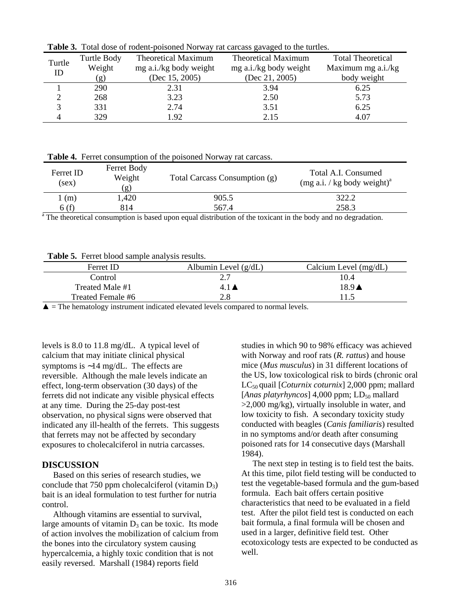| Turtle | Turtle Body                | <b>Theoretical Maximum</b> | Theoretical Maximum    | <b>Total Theoretical</b> |
|--------|----------------------------|----------------------------|------------------------|--------------------------|
| ID     | Weight                     | mg a.i./kg body weight     | mg a.i./kg body weight | Maximum mg a.i./kg       |
|        | $\left( \mathbf{g}\right)$ | (Dec 15, 2005)             | (Dec $21, 2005$ )      | body weight              |
|        | 290                        | 2.31                       | 3.94                   | 6.25                     |
|        | 268                        | 3.23                       | 2.50                   | 5.73                     |
|        | 331                        | 2.74                       | 3.51                   | 6.25                     |
|        | 329                        | 1.92                       | 2.15                   | 4.07                     |

**Table 3.** Total dose of rodent-poisoned Norway rat carcass gavaged to the turtles.

**Table 4.** Ferret consumption of the poisoned Norway rat carcass.

| Ferret ID<br>(sex) | Ferret Body<br>Weight<br>(g) | Total Carcass Consumption (g) | Total A.I. Consumed<br>$(mg a.i. / kg body weight)^{a}$ |
|--------------------|------------------------------|-------------------------------|---------------------------------------------------------|
| (m)                | .420                         | 905.5                         | 322.2                                                   |
| 6 (f)              | 814                          | 567.4                         | 258.3                                                   |

<sup>a</sup> The theoretical consumption is based upon equal distribution of the toxicant in the body and no degradation.

**Table 5.** Ferret blood sample analysis results.

| Ferret ID         | Albumin Level $(g/dL)$ | Calcium Level $(mg/dL)$ |
|-------------------|------------------------|-------------------------|
| Control           |                        | 10.4                    |
| Treated Male #1   | 4.1 <sub>l</sub>       | $18.9 \triangle$        |
| Treated Female #6 | 2.8                    | 11.5                    |
|                   |                        |                         |

 $\triangle$  = The hematology instrument indicated elevated levels compared to normal levels.

levels is 8.0 to 11.8 mg/dL. A typical level of calcium that may initiate clinical physical symptoms is ∼14 mg/dL. The effects are reversible. Although the male levels indicate an effect, long-term observation (30 days) of the ferrets did not indicate any visible physical effects at any time. During the 25-day post-test observation, no physical signs were observed that indicated any ill-health of the ferrets. This suggests that ferrets may not be affected by secondary exposures to cholecalciferol in nutria carcasses.

## **DISCUSSION**

 Based on this series of research studies, we conclude that 750 ppm cholecalciferol (vitamin  $D_3$ ) bait is an ideal formulation to test further for nutria control.

 Although vitamins are essential to survival, large amounts of vitamin  $D_3$  can be toxic. Its mode of action involves the mobilization of calcium from the bones into the circulatory system causing hypercalcemia, a highly toxic condition that is not easily reversed. Marshall (1984) reports field

studies in which 90 to 98% efficacy was achieved with Norway and roof rats (*R. rattus*) and house mice (*Mus musculus*) in 31 different locations of the US, low toxicological risk to birds (chronic oral LC50 quail [*Coturnix coturnix*] 2,000 ppm; mallard [*Anas platyrhyncos*] 4,000 ppm;  $LD_{50}$  mallard >2,000 mg/kg), virtually insoluble in water, and low toxicity to fish. A secondary toxicity study conducted with beagles (*Canis familiaris*) resulted in no symptoms and/or death after consuming poisoned rats for 14 consecutive days (Marshall 1984).

 The next step in testing is to field test the baits. At this time, pilot field testing will be conducted to test the vegetable-based formula and the gum-based formula. Each bait offers certain positive characteristics that need to be evaluated in a field test. After the pilot field test is conducted on each bait formula, a final formula will be chosen and used in a larger, definitive field test. Other ecotoxicology tests are expected to be conducted as well.